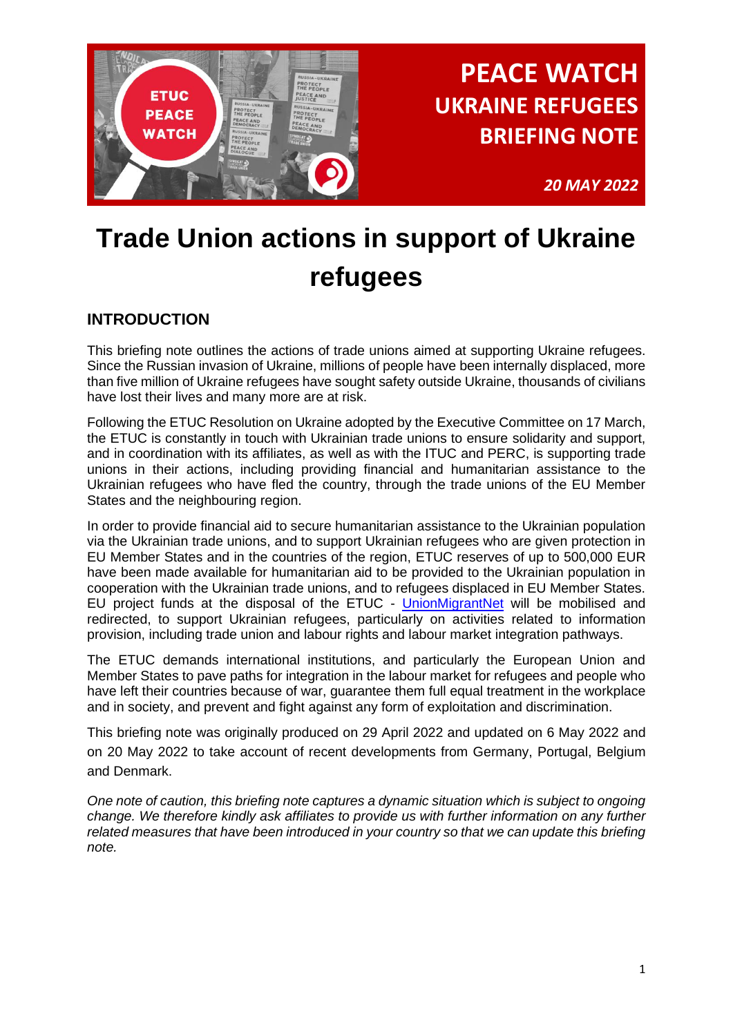

*20 MAY 2022*

# **Trade Union actions in support of Ukraine refugees**

## **INTRODUCTION**

This briefing note outlines the actions of trade unions aimed at supporting Ukraine refugees. Since the Russian invasion of Ukraine, millions of people have been internally displaced, more than five million of Ukraine refugees have sought safety outside Ukraine, thousands of civilians have lost their lives and many more are at risk.

Following the ETUC Resolution on Ukraine adopted by the Executive Committee on 17 March, the ETUC is constantly in touch with Ukrainian trade unions to ensure solidarity and support, and in coordination with its affiliates, as well as with the ITUC and PERC, is supporting trade unions in their actions, including providing financial and humanitarian assistance to the Ukrainian refugees who have fled the country, through the trade unions of the EU Member States and the neighbouring region.

In order to provide financial aid to secure humanitarian assistance to the Ukrainian population via the Ukrainian trade unions, and to support Ukrainian refugees who are given protection in EU Member States and in the countries of the region, ETUC reserves of up to 500,000 EUR have been made available for humanitarian aid to be provided to the Ukrainian population in cooperation with the Ukrainian trade unions, and to refugees displaced in EU Member States. EU project funds at the disposal of the ETUC - [UnionMigrantNet](https://www.unionmigrantnet.eu/ukraine-support/) will be mobilised and redirected, to support Ukrainian refugees, particularly on activities related to information provision, including trade union and labour rights and labour market integration pathways.

The ETUC demands international institutions, and particularly the European Union and Member States to pave paths for integration in the labour market for refugees and people who have left their countries because of war, guarantee them full equal treatment in the workplace and in society, and prevent and fight against any form of exploitation and discrimination.

This briefing note was originally produced on 29 April 2022 and updated on 6 May 2022 and on 20 May 2022 to take account of recent developments from Germany, Portugal, Belgium and Denmark.

*One note of caution, this briefing note captures a dynamic situation which is subject to ongoing change. We therefore kindly ask affiliates to provide us with further information on any further related measures that have been introduced in your country so that we can update this briefing note.*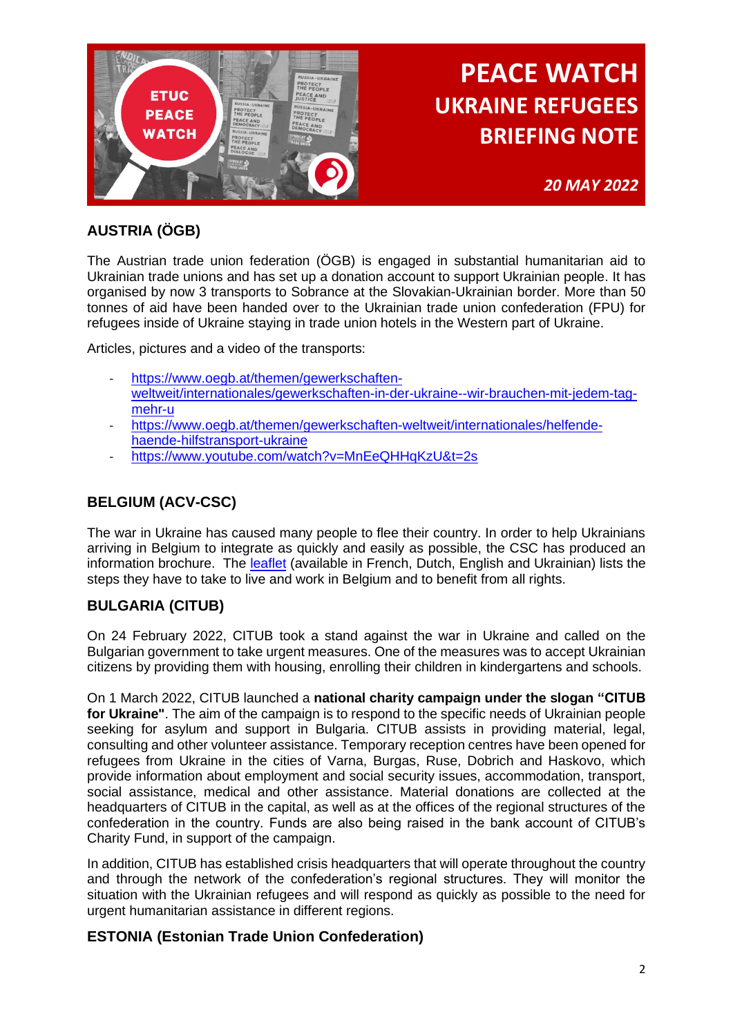

*20 MAY 2022*

## **AUSTRIA (ÖGB)**

The Austrian trade union federation (ÖGB) is engaged in substantial humanitarian aid to Ukrainian trade unions and has set up a donation account to support Ukrainian people. It has organised by now 3 transports to Sobrance at the Slovakian-Ukrainian border. More than 50 tonnes of aid have been handed over to the Ukrainian trade union confederation (FPU) for refugees inside of Ukraine staying in trade union hotels in the Western part of Ukraine.

Articles, pictures and a video of the transports:

- [https://www.oegb.at/themen/gewerkschaften](https://eur01.safelinks.protection.outlook.com/?url=https%3A%2F%2Fwww.oegb.at%2Fthemen%2Fgewerkschaften-weltweit%2Finternationales%2Fgewerkschaften-in-der-ukraine--wir-brauchen-mit-jedem-tag-mehr-u&data=04%7C01%7Cmmiletti%40etuc.org%7Cf3f136f5c1c04516a9fd08da1bcf9746%7C7a57d45075f34a4da90dac04a367b91a%7C0%7C0%7C637852875787121793%7CUnknown%7CTWFpbGZsb3d8eyJWIjoiMC4wLjAwMDAiLCJQIjoiV2luMzIiLCJBTiI6Ik1haWwiLCJXVCI6Mn0%3D%7C3000&sdata=Kr4wrImCHml18UHKXkmeLwxywLuGi%2FnjNwRAO%2FsOLd4%3D&reserved=0)[weltweit/internationales/gewerkschaften-in-der-ukraine--wir-brauchen-mit-jedem-tag](https://eur01.safelinks.protection.outlook.com/?url=https%3A%2F%2Fwww.oegb.at%2Fthemen%2Fgewerkschaften-weltweit%2Finternationales%2Fgewerkschaften-in-der-ukraine--wir-brauchen-mit-jedem-tag-mehr-u&data=04%7C01%7Cmmiletti%40etuc.org%7Cf3f136f5c1c04516a9fd08da1bcf9746%7C7a57d45075f34a4da90dac04a367b91a%7C0%7C0%7C637852875787121793%7CUnknown%7CTWFpbGZsb3d8eyJWIjoiMC4wLjAwMDAiLCJQIjoiV2luMzIiLCJBTiI6Ik1haWwiLCJXVCI6Mn0%3D%7C3000&sdata=Kr4wrImCHml18UHKXkmeLwxywLuGi%2FnjNwRAO%2FsOLd4%3D&reserved=0)[mehr-u](https://eur01.safelinks.protection.outlook.com/?url=https%3A%2F%2Fwww.oegb.at%2Fthemen%2Fgewerkschaften-weltweit%2Finternationales%2Fgewerkschaften-in-der-ukraine--wir-brauchen-mit-jedem-tag-mehr-u&data=04%7C01%7Cmmiletti%40etuc.org%7Cf3f136f5c1c04516a9fd08da1bcf9746%7C7a57d45075f34a4da90dac04a367b91a%7C0%7C0%7C637852875787121793%7CUnknown%7CTWFpbGZsb3d8eyJWIjoiMC4wLjAwMDAiLCJQIjoiV2luMzIiLCJBTiI6Ik1haWwiLCJXVCI6Mn0%3D%7C3000&sdata=Kr4wrImCHml18UHKXkmeLwxywLuGi%2FnjNwRAO%2FsOLd4%3D&reserved=0)
- [https://www.oegb.at/themen/gewerkschaften-weltweit/internationales/helfende](https://www.oegb.at/themen/gewerkschaften-weltweit/internationales/helfende-haende-hilfstransport-ukraine)[haende-hilfstransport-ukraine](https://www.oegb.at/themen/gewerkschaften-weltweit/internationales/helfende-haende-hilfstransport-ukraine)
- [https://www.youtube.com/watch?v=MnEeQHHqKzU&t=2s](https://eur01.safelinks.protection.outlook.com/?url=https%3A%2F%2Fwww.youtube.com%2Fwatch%3Fv%3DMnEeQHHqKzU%26t%3D2s&data=04%7C01%7Cmmiletti%40etuc.org%7Cf3f136f5c1c04516a9fd08da1bcf9746%7C7a57d45075f34a4da90dac04a367b91a%7C0%7C0%7C637852875787121793%7CUnknown%7CTWFpbGZsb3d8eyJWIjoiMC4wLjAwMDAiLCJQIjoiV2luMzIiLCJBTiI6Ik1haWwiLCJXVCI6Mn0%3D%7C3000&sdata=qfe8%2FDaAVwzs9xMhs9bvbLjhAf6XkM85foc4uGTO%2FTQ%3D&reserved=0)

### **BELGIUM (ACV-CSC)**

The war in Ukraine has caused many people to flee their country. In order to help Ukrainians arriving in Belgium to integrate as quickly and easily as possible, the CSC has produced an information brochure. The [leaflet](https://www.lacsc.be/actualite/campagnes/guide-pour-les-ukrainiens) (available in French, Dutch, English and Ukrainian) lists the steps they have to take to live and work in Belgium and to benefit from all rights.

## **BULGARIA (CITUB)**

On 24 February 2022, CITUB took a stand against the war in Ukraine and called on the Bulgarian government to take urgent measures. One of the measures was to accept Ukrainian citizens by providing them with housing, enrolling their children in kindergartens and schools.

On 1 March 2022, CITUB launched a **national charity campaign under the slogan "CITUB for Ukraine"**. The aim of the campaign is to respond to the specific needs of Ukrainian people seeking for asylum and support in Bulgaria. CITUB assists in providing material, legal, consulting and other volunteer assistance. Temporary reception centres have been opened for refugees from Ukraine in the cities of Varna, Burgas, Ruse, Dobrich and Haskovo, which provide information about employment and social security issues, accommodation, transport, social assistance, medical and other assistance. Material donations are collected at the headquarters of CITUB in the capital, as well as at the offices of the regional structures of the confederation in the country. Funds are also being raised in the bank account of CITUB's Charity Fund, in support of the campaign.

In addition, CITUB has established crisis headquarters that will operate throughout the country and through the network of the confederation's regional structures. They will monitor the situation with the Ukrainian refugees and will respond as quickly as possible to the need for urgent humanitarian assistance in different regions.

#### **ESTONIA (Estonian Trade Union Confederation)**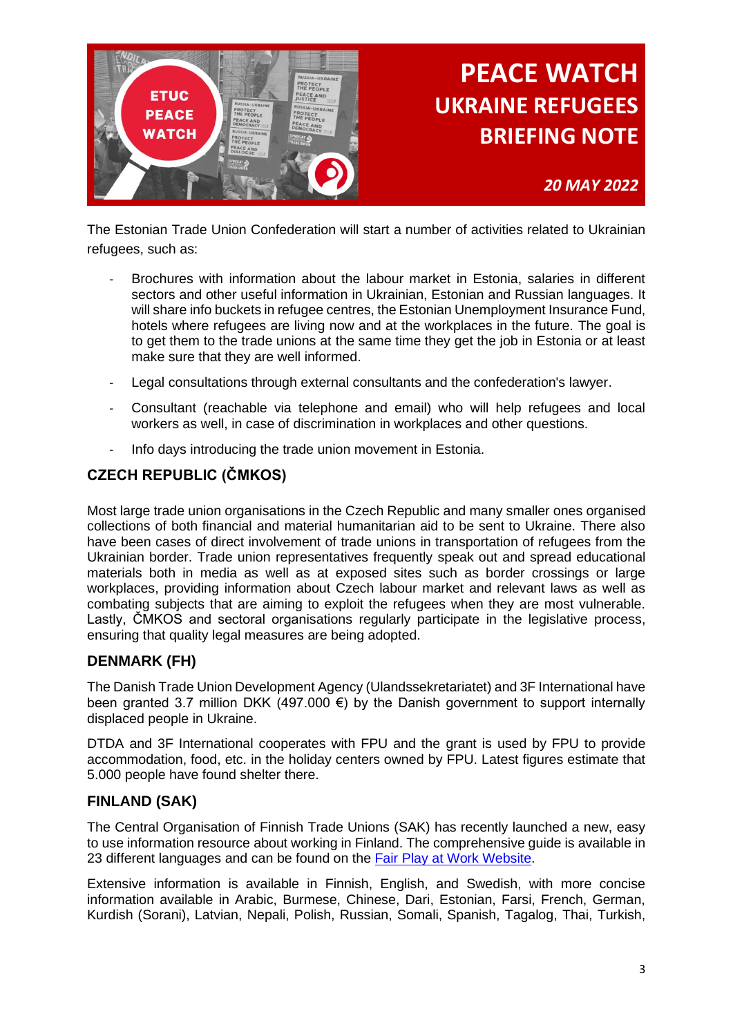

*20 MAY 2022*

The Estonian Trade Union Confederation will start a number of activities related to Ukrainian refugees, such as:

- Brochures with information about the labour market in Estonia, salaries in different sectors and other useful information in Ukrainian, Estonian and Russian languages. It will share info buckets in refugee centres, the Estonian Unemployment Insurance Fund, hotels where refugees are living now and at the workplaces in the future. The goal is to get them to the trade unions at the same time they get the job in Estonia or at least make sure that they are well informed.
- Legal consultations through external consultants and the confederation's lawyer.
- Consultant (reachable via telephone and email) who will help refugees and local workers as well, in case of discrimination in workplaces and other questions.
- Info days introducing the trade union movement in Estonia.

## **CZECH REPUBLIC (ČMKOS)**

Most large trade union organisations in the Czech Republic and many smaller ones organised collections of both financial and material humanitarian aid to be sent to Ukraine. There also have been cases of direct involvement of trade unions in transportation of refugees from the Ukrainian border. Trade union representatives frequently speak out and spread educational materials both in media as well as at exposed sites such as border crossings or large workplaces, providing information about Czech labour market and relevant laws as well as combating subjects that are aiming to exploit the refugees when they are most vulnerable. Lastly, ČMKOS and sectoral organisations regularly participate in the legislative process, ensuring that quality legal measures are being adopted.

### **DENMARK (FH)**

The Danish Trade Union Development Agency (Ulandssekretariatet) and 3F International have been granted 3.7 million DKK (497.000 €) by the Danish government to support internally displaced people in Ukraine.

DTDA and 3F International cooperates with FPU and the grant is used by FPU to provide accommodation, food, etc. in the holiday centers owned by FPU. Latest figures estimate that 5.000 people have found shelter there.

### **FINLAND (SAK)**

The Central Organisation of Finnish Trade Unions (SAK) has recently launched a new, easy to use information resource about working in Finland. The comprehensive guide is available in 23 different languages and can be found on the [Fair Play at Work Website.](https://tyoelamanpelisaannot.fi/en/)

Extensive information is available in Finnish, English, and Swedish, with more concise information available in Arabic, Burmese, Chinese, Dari, Estonian, Farsi, French, German, Kurdish (Sorani), Latvian, Nepali, Polish, Russian, Somali, Spanish, Tagalog, Thai, Turkish,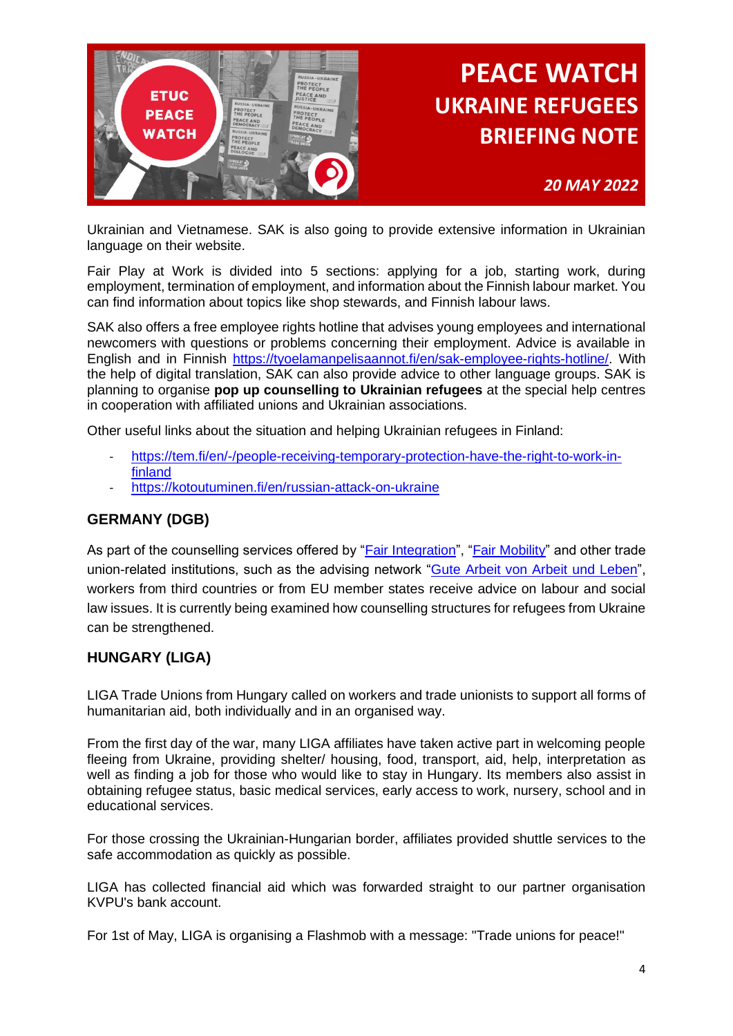

*20 MAY 2022*

Ukrainian and Vietnamese. SAK is also going to provide extensive information in Ukrainian language on their website.

Fair Play at Work is divided into 5 sections: applying for a job, starting work, during employment, termination of employment, and information about the Finnish labour market. You can find information about topics like shop stewards, and Finnish labour laws.

SAK also offers a free employee rights hotline that advises young employees and international newcomers with questions or problems concerning their employment. Advice is available in English and in Finnish [https://tyoelamanpelisaannot.fi/en/sak-employee-rights-hotline/.](https://tyoelamanpelisaannot.fi/en/sak-employee-rights-hotline/) With the help of digital translation, SAK can also provide advice to other language groups. SAK is planning to organise **pop up counselling to Ukrainian refugees** at the special help centres in cooperation with affiliated unions and Ukrainian associations.

Other useful links about the situation and helping Ukrainian refugees in Finland:

- [https://tem.fi/en/-/people-receiving-temporary-protection-have-the-right-to-work-in](https://tem.fi/en/-/people-receiving-temporary-protection-have-the-right-to-work-in-finland)[finland](https://tem.fi/en/-/people-receiving-temporary-protection-have-the-right-to-work-in-finland)
- <https://kotoutuminen.fi/en/russian-attack-on-ukraine>

#### **GERMANY (DGB)**

As part of the counselling services offered by ["Fair Integration"](http://www.faire-integration.de/), ["Fair Mobility"](http://www.faire-mobilitaet.de/) and other trade union-related institutions, such as the advising network "Gute [Arbeit von Arbeit und Leben"](https://www.arbeitundleben.de/arbeitsfelder/beratungsnetzwerk), workers from third countries or from EU member states receive advice on labour and social law issues. It is currently being examined how counselling structures for refugees from Ukraine can be strengthened.

### **HUNGARY (LIGA)**

LIGA Trade Unions from Hungary called on workers and trade unionists to support all forms of humanitarian aid, both individually and in an organised way.

From the first day of the war, many LIGA affiliates have taken active part in welcoming people fleeing from Ukraine, providing shelter/ housing, food, transport, aid, help, interpretation as well as finding a job for those who would like to stay in Hungary. Its members also assist in obtaining refugee status, basic medical services, early access to work, nursery, school and in educational services.

For those crossing the Ukrainian-Hungarian border, affiliates provided shuttle services to the safe accommodation as quickly as possible.

LIGA has collected financial aid which was forwarded straight to our partner organisation KVPU's bank account.

For 1st of May, LIGA is organising a Flashmob with a message: "Trade unions for peace!"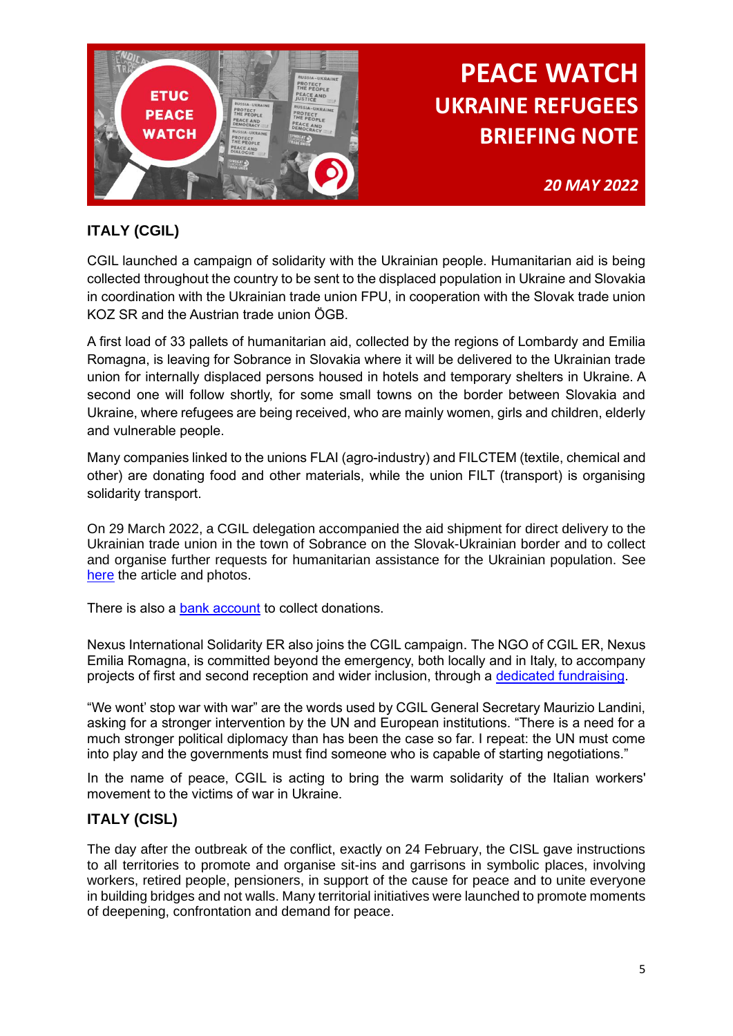

*20 MAY 2022*

## **ITALY (CGIL)**

CGIL launched a campaign of solidarity with the Ukrainian people. Humanitarian aid is being collected throughout the country to be sent to the displaced population in Ukraine and Slovakia in coordination with the Ukrainian trade union FPU, in cooperation with the Slovak trade union KOZ SR and the Austrian trade union ÖGB.

A first load of 33 pallets of humanitarian aid, collected by the regions of Lombardy and Emilia Romagna, is leaving for Sobrance in Slovakia where it will be delivered to the Ukrainian trade union for internally displaced persons housed in hotels and temporary shelters in Ukraine. A second one will follow shortly, for some small towns on the border between Slovakia and Ukraine, where refugees are being received, who are mainly women, girls and children, elderly and vulnerable people.

Many companies linked to the unions FLAI (agro-industry) and FILCTEM (textile, chemical and other) are donating food and other materials, while the union FILT (transport) is organising solidarity transport.

On 29 March 2022, a CGIL delegation accompanied the aid shipment for direct delivery to the Ukrainian trade union in the town of Sobrance on the Slovak-Ukrainian border and to collect and organise further requests for humanitarian assistance for the Ukrainian population. See [here](https://www.cgil.it/la-cgil/aree-politiche/internazionale/2022/03/29/news/ucraina_cgil_partita_delegazione_per_aiuti_umanitari_profughi_fuggiti_dalle_bombe-1989873/) the article and photos.

There is also a [bank account](https://www.cgil.it/la-cgil/aree-politiche/internazionale/2022/03/08/news/la_cgil_con_il_popolo_ucraino-1932215/) to collect donations.

Nexus International Solidarity ER also joins the CGIL campaign. The NGO of CGIL ER, Nexus Emilia Romagna, is committed beyond the emergency, both locally and in Italy, to accompany projects of first and second reception and wider inclusion, through a [dedicated fundraising.](https://www.nexusemiliaromagna.org/2022/03/16/campagna-di-solidarieta-verso-la-popolazione-ucraina-nexus4ucraina/)

"We wont' stop war with war" are the words used by CGIL General Secretary Maurizio Landini, asking for a stronger intervention by the UN and European institutions. "There is a need for a much stronger political diplomacy than has been the case so far. I repeat: the UN must come into play and the governments must find someone who is capable of starting negotiations."

In the name of peace, CGIL is acting to bring the warm solidarity of the Italian workers' movement to the victims of war in Ukraine.

### **ITALY (CISL)**

The day after the outbreak of the conflict, exactly on 24 February, the CISL gave instructions to all territories to promote and organise sit-ins and garrisons in symbolic places, involving workers, retired people, pensioners, in support of the cause for peace and to unite everyone in building bridges and not walls. Many territorial initiatives were launched to promote moments of deepening, confrontation and demand for peace.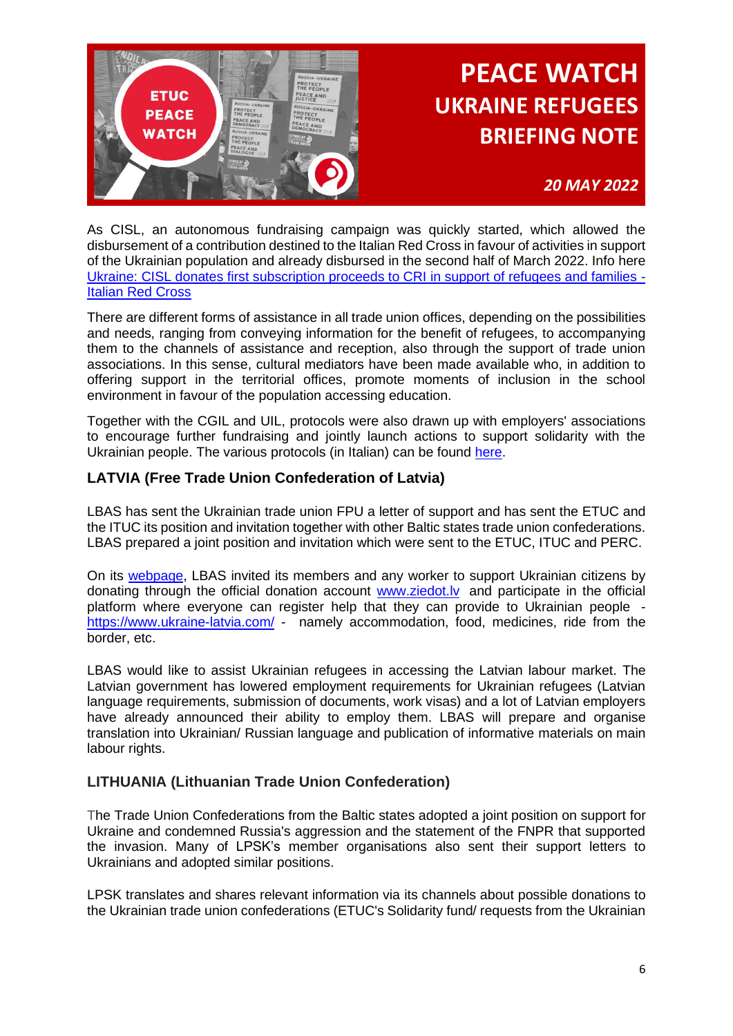

## *20 MAY 2022*

As CISL, an autonomous fundraising campaign was quickly started, which allowed the disbursement of a contribution destined to the Italian Red Cross in favour of activities in support of the Ukrainian population and already disbursed in the second half of March 2022. Info here [Ukraine: CISL donates first subscription proceeds to CRI in support of refugees and families -](https://cri.it/2022/03/23/ucraina-cisl-dona-alla-cri-il-primo-ricavato-della-sottoscrizione-a-sostegno-di-profughi-e-famiglie/) [Italian Red Cross](https://cri.it/2022/03/23/ucraina-cisl-dona-alla-cri-il-primo-ricavato-della-sottoscrizione-a-sostegno-di-profughi-e-famiglie/)

There are different forms of assistance in all trade union offices, depending on the possibilities and needs, ranging from conveying information for the benefit of refugees, to accompanying them to the channels of assistance and reception, also through the support of trade union associations. In this sense, cultural mediators have been made available who, in addition to offering support in the territorial offices, promote moments of inclusion in the school environment in favour of the population accessing education.

Together with the CGIL and UIL, protocols were also drawn up with employers' associations to encourage further fundraising and jointly launch actions to support solidarity with the Ukrainian people. The various protocols (in Italian) can be found [here.](https://etuc-my.sharepoint.com/:f:/g/personal/mmiletti_etuc_org/EmBagegD1ENPixF3yTzBPTYBsn19LYZ47jJ-n74mHhFQGg?e=fWFc3X)

### **LATVIA (Free Trade Union Confederation of Latvia)**

LBAS has sent the Ukrainian trade union FPU a letter of support and has sent the ETUC and the ITUC its position and invitation together with other Baltic states trade union confederations. LBAS prepared a joint position and invitation which were sent to the ETUC, ITUC and PERC.

On its [webpage,](https://arodbiedribas.lv/news/lbas-aicina-arodbiedribas-biedrus-koordineti-sniegt-palidzibu-ukrainas-begliem/)) LBAS invited its members and any worker to support Ukrainian citizens by donating through the official donation account www.ziedot.ly and participate in the official platform where everyone can register help that they can provide to Ukrainian people [https://www.ukraine-latvia.com/](https://eur01.safelinks.protection.outlook.com/?url=https%3A%2F%2Fwww.ukraine-latvia.com%2F&data=04%7C01%7Cmmiletti%40etuc.org%7C71871a9821094e989a7c08da00256261%7C7a57d45075f34a4da90dac04a367b91a%7C0%7C0%7C637822458887114651%7CUnknown%7CTWFpbGZsb3d8eyJWIjoiMC4wLjAwMDAiLCJQIjoiV2luMzIiLCJBTiI6Ik1haWwiLCJXVCI6Mn0%3D%7C3000&sdata=XpVA7r2%2F300M4LUE0T7q9%2FJLjKH2S%2F1zwpUML7K401w%3D&reserved=0) - namely accommodation, food, medicines, ride from the border, etc.

LBAS would like to assist Ukrainian refugees in accessing the Latvian labour market. The Latvian government has lowered employment requirements for Ukrainian refugees (Latvian language requirements, submission of documents, work visas) and a lot of Latvian employers have already announced their ability to employ them. LBAS will prepare and organise translation into Ukrainian/ Russian language and publication of informative materials on main labour rights.

### **LITHUANIA (Lithuanian Trade Union Confederation)**

The Trade Union Confederations from the Baltic states adopted a joint position on support for Ukraine and condemned Russia's aggression and the statement of the FNPR that supported the invasion. Many of LPSK's member organisations also sent their support letters to Ukrainians and adopted similar positions.

LPSK translates and shares relevant information via its channels about possible donations to the Ukrainian trade union confederations (ETUC's Solidarity fund/ requests from the Ukrainian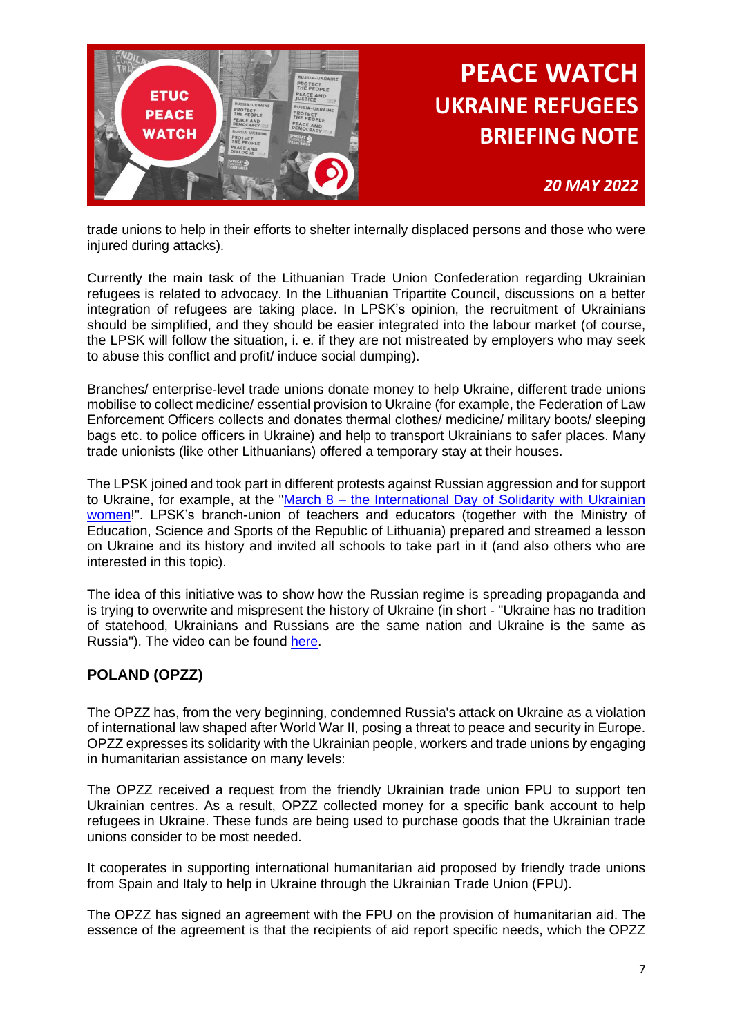

trade unions to help in their efforts to shelter internally displaced persons and those who were injured during attacks).

Currently the main task of the Lithuanian Trade Union Confederation regarding Ukrainian refugees is related to advocacy. In the Lithuanian Tripartite Council, discussions on a better integration of refugees are taking place. In LPSK's opinion, the recruitment of Ukrainians should be simplified, and they should be easier integrated into the labour market (of course, the LPSK will follow the situation, i. e. if they are not mistreated by employers who may seek to abuse this conflict and profit/ induce social dumping).

Branches/ enterprise-level trade unions donate money to help Ukraine, different trade unions mobilise to collect medicine/ essential provision to Ukraine (for example, the Federation of Law Enforcement Officers collects and donates thermal clothes/ medicine/ military boots/ sleeping bags etc. to police officers in Ukraine) and help to transport Ukrainians to safer places. Many trade unionists (like other Lithuanians) offered a temporary stay at their houses.

The LPSK joined and took part in different protests against Russian aggression and for support to Ukraine, for example, at the "March  $8 -$  the International Day of Solidarity with Ukrainian [women!](https://www.facebook.com/events/357057676286625/?acontext=%7B%22event_action_history%22%3A%5b%7B%22mechanism%22%3A%22search_results%22%2C%22surface%22%3A%22search%22%7D%5d%2C%22ref_notif_type%22%3Anull%7D)". LPSK's branch-union of teachers and educators (together with the Ministry of Education, Science and Sports of the Republic of Lithuania) prepared and streamed a lesson on Ukraine and its history and invited all schools to take part in it (and also others who are interested in this topic).

The idea of this initiative was to show how the Russian regime is spreading propaganda and is trying to overwrite and mispresent the history of Ukraine (in short - "Ukraine has no tradition of statehood, Ukrainians and Russians are the same nation and Ukraine is the same as Russia"). The video can be found [here.](https://www.youtube.com/watch?v=Byj6FtRF_SU&t=167s&ab_channel=%C5%A0vietimo%2Cmoksloirsportoministerija)

### **POLAND (OPZZ)**

The OPZZ has, from the very beginning, condemned Russia's attack on Ukraine as a violation of international law shaped after World War II, posing a threat to peace and security in Europe. OPZZ expresses its solidarity with the Ukrainian people, workers and trade unions by engaging in humanitarian assistance on many levels:

The OPZZ received a request from the friendly Ukrainian trade union FPU to support ten Ukrainian centres. As a result, OPZZ collected money for a specific bank account to help refugees in Ukraine. These funds are being used to purchase goods that the Ukrainian trade unions consider to be most needed.

It cooperates in supporting international humanitarian aid proposed by friendly trade unions from Spain and Italy to help in Ukraine through the Ukrainian Trade Union (FPU).

The OPZZ has signed an agreement with the FPU on the provision of humanitarian aid. The essence of the agreement is that the recipients of aid report specific needs, which the OPZZ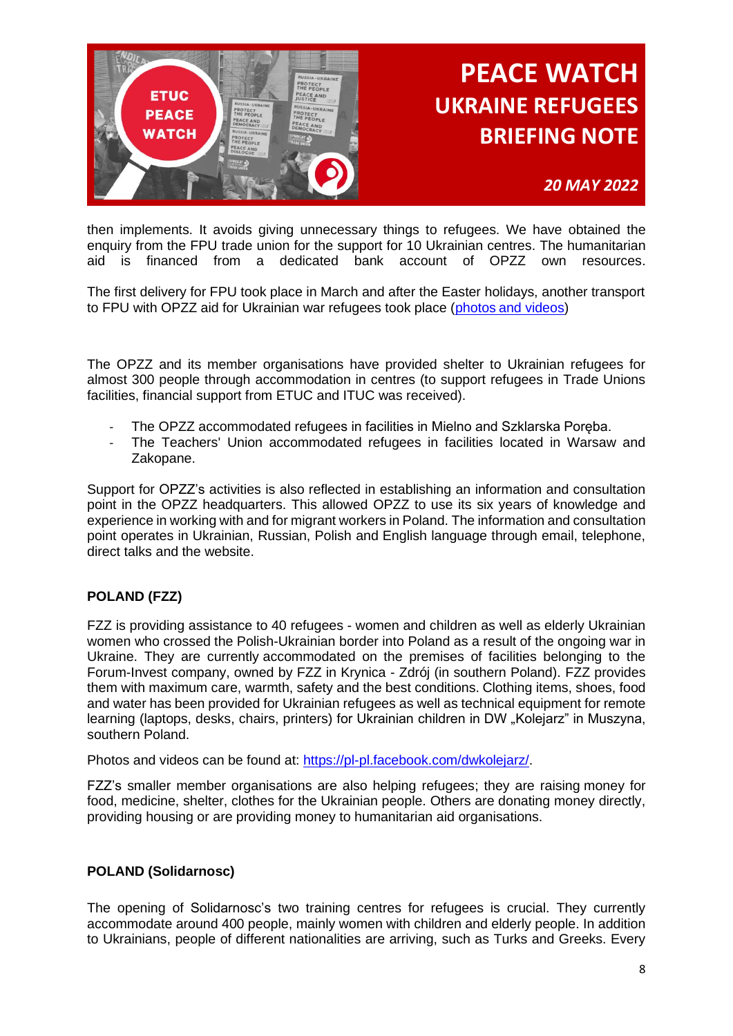

*20 MAY 2022*

then implements. It avoids giving unnecessary things to refugees. We have obtained the enquiry from the FPU trade union for the support for 10 Ukrainian centres. The humanitarian aid is financed from a dedicated bank account of OPZZ own resources.

The first delivery for FPU took place in March and after the Easter holidays, another transport to FPU with OPZZ aid for Ukrainian war refugees took place (photos [and videos\)](https://drive.google.com/drive/folders/1Azpfo7PitsqSgNguIE3IHlMZ7zGLR-C6?usp=sharing)

The OPZZ and its member organisations have provided shelter to Ukrainian refugees for almost 300 people through accommodation in centres (to support refugees in Trade Unions facilities, financial support from ETUC and ITUC was received).

- The OPZZ accommodated refugees in facilities in Mielno and Szklarska Poręba.
- The Teachers' Union accommodated refugees in facilities located in Warsaw and Zakopane.

Support for OPZZ's activities is also reflected in establishing an information and consultation point in the OPZZ headquarters. This allowed OPZZ to use its six years of knowledge and experience in working with and for migrant workers in Poland. The information and consultation point operates in Ukrainian, Russian, Polish and English language through email, telephone, direct talks and the website.

#### **POLAND (FZZ)**

FZZ is providing assistance to 40 refugees - women and children as well as elderly Ukrainian women who crossed the Polish-Ukrainian border into Poland as a result of the ongoing war in Ukraine. They are currently accommodated on the premises of facilities belonging to the Forum-Invest company, owned by FZZ in Krynica - Zdrój (in southern Poland). FZZ provides them with maximum care, warmth, safety and the best conditions. Clothing items, shoes, food and water has been provided for Ukrainian refugees as well as technical equipment for remote learning (laptops, desks, chairs, printers) for Ukrainian children in DW "Kolejarz" in Muszyna, southern Poland.

Photos and videos can be found at: [https://pl-pl.facebook.com/dwkolejarz/.](https://pl-pl.facebook.com/dwkolejarz/)

FZZ's smaller member organisations are also helping refugees; they are raising money for food, medicine, shelter, clothes for the Ukrainian people. Others are donating money directly, providing housing or are providing money to humanitarian aid organisations.

#### **POLAND (Solidarnosc)**

The opening of Solidarnosc's two training centres for refugees is crucial. They currently accommodate around 400 people, mainly women with children and elderly people. In addition to Ukrainians, people of different nationalities are arriving, such as Turks and Greeks. Every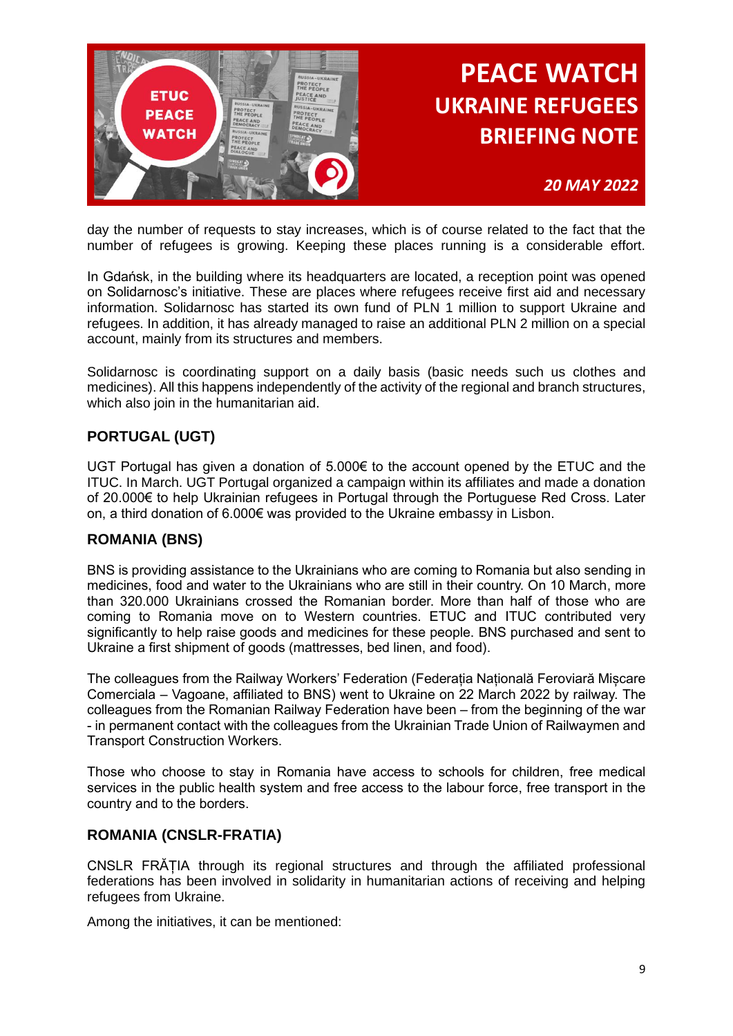

*20 MAY 2022*

day the number of requests to stay increases, which is of course related to the fact that the number of refugees is growing. Keeping these places running is a considerable effort.

In Gdańsk, in the building where its headquarters are located, a reception point was opened on Solidarnosc's initiative. These are places where refugees receive first aid and necessary information. Solidarnosc has started its own fund of PLN 1 million to support Ukraine and refugees. In addition, it has already managed to raise an additional PLN 2 million on a special account, mainly from its structures and members.

Solidarnosc is coordinating support on a daily basis (basic needs such us clothes and medicines). All this happens independently of the activity of the regional and branch structures, which also join in the humanitarian aid.

## **PORTUGAL (UGT)**

UGT Portugal has given a donation of 5.000€ to the account opened by the ETUC and the ITUC. In March. UGT Portugal organized a campaign within its affiliates and made a donation of 20.000€ to help Ukrainian refugees in Portugal through the Portuguese Red Cross. Later on, a third donation of 6.000€ was provided to the Ukraine embassy in Lisbon.

#### **ROMANIA (BNS)**

BNS is providing assistance to the Ukrainians who are coming to Romania but also sending in medicines, food and water to the Ukrainians who are still in their country. On 10 March, more than 320.000 Ukrainians crossed the Romanian border. More than half of those who are coming to Romania move on to Western countries. ETUC and ITUC contributed very significantly to help raise goods and medicines for these people. BNS purchased and sent to Ukraine a first shipment of goods (mattresses, bed linen, and food).

The colleagues from the Railway Workers' Federation (Federația Națională Feroviară Mișcare Comerciala – Vagoane, affiliated to BNS) went to Ukraine on 22 March 2022 by railway. The colleagues from the Romanian Railway Federation have been – from the beginning of the war - in permanent contact with the colleagues from the Ukrainian Trade Union of Railwaymen and Transport Construction Workers.

Those who choose to stay in Romania have access to schools for children, free medical services in the public health system and free access to the labour force, free transport in the country and to the borders.

#### **ROMANIA (CNSLR-FRATIA)**

CNSLR FRĂȚIA through its regional structures and through the affiliated professional federations has been involved in solidarity in humanitarian actions of receiving and helping refugees from Ukraine.

Among the initiatives, it can be mentioned: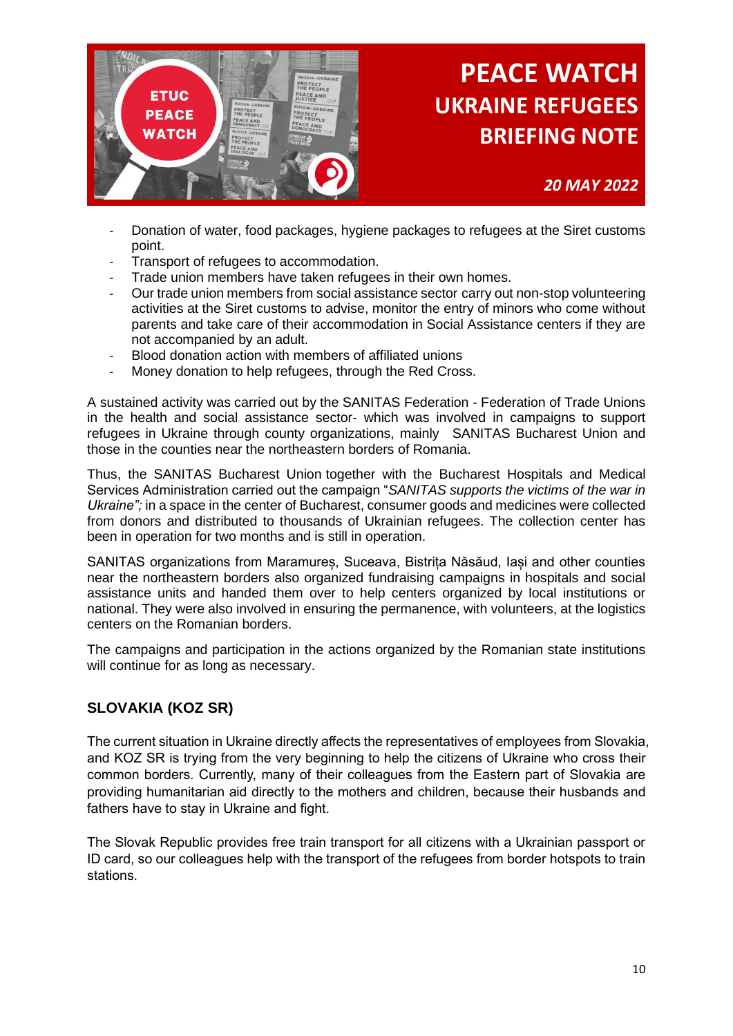

*20 MAY 2022*

- Donation of water, food packages, hygiene packages to refugees at the Siret customs point.
- Transport of refugees to accommodation.
- Trade union members have taken refugees in their own homes.
- Our trade union members from social assistance sector carry out non-stop volunteering activities at the Siret customs to advise, monitor the entry of minors who come without parents and take care of their accommodation in Social Assistance centers if they are not accompanied by an adult.
- Blood donation action with members of affiliated unions
- Money donation to help refugees, through the Red Cross.

A sustained activity was carried out by the SANITAS Federation - Federation of Trade Unions in the health and social assistance sector- which was involved in campaigns to support refugees in Ukraine through county organizations, mainly SANITAS Bucharest Union and those in the counties near the northeastern borders of Romania.

Thus, the SANITAS Bucharest Union together with the Bucharest Hospitals and Medical Services Administration carried out the campaign "*SANITAS supports the victims of the war in Ukraine";* in a space in the center of Bucharest, consumer goods and medicines were collected from donors and distributed to thousands of Ukrainian refugees. The collection center has been in operation for two months and is still in operation.

SANITAS organizations from Maramureș, Suceava, Bistrița Năsăud, Iași and other counties near the northeastern borders also organized fundraising campaigns in hospitals and social assistance units and handed them over to help centers organized by local institutions or national. They were also involved in ensuring the permanence, with volunteers, at the logistics centers on the Romanian borders.

The campaigns and participation in the actions organized by the Romanian state institutions will continue for as long as necessary.

### **SLOVAKIA (KOZ SR)**

The current situation in Ukraine directly affects the representatives of employees from Slovakia, and KOZ SR is trying from the very beginning to help the citizens of Ukraine who cross their common borders. Currently, many of their colleagues from the Eastern part of Slovakia are providing humanitarian aid directly to the mothers and children, because their husbands and fathers have to stay in Ukraine and fight.

The Slovak Republic provides free train transport for all citizens with a Ukrainian passport or ID card, so our colleagues help with the transport of the refugees from border hotspots to train stations.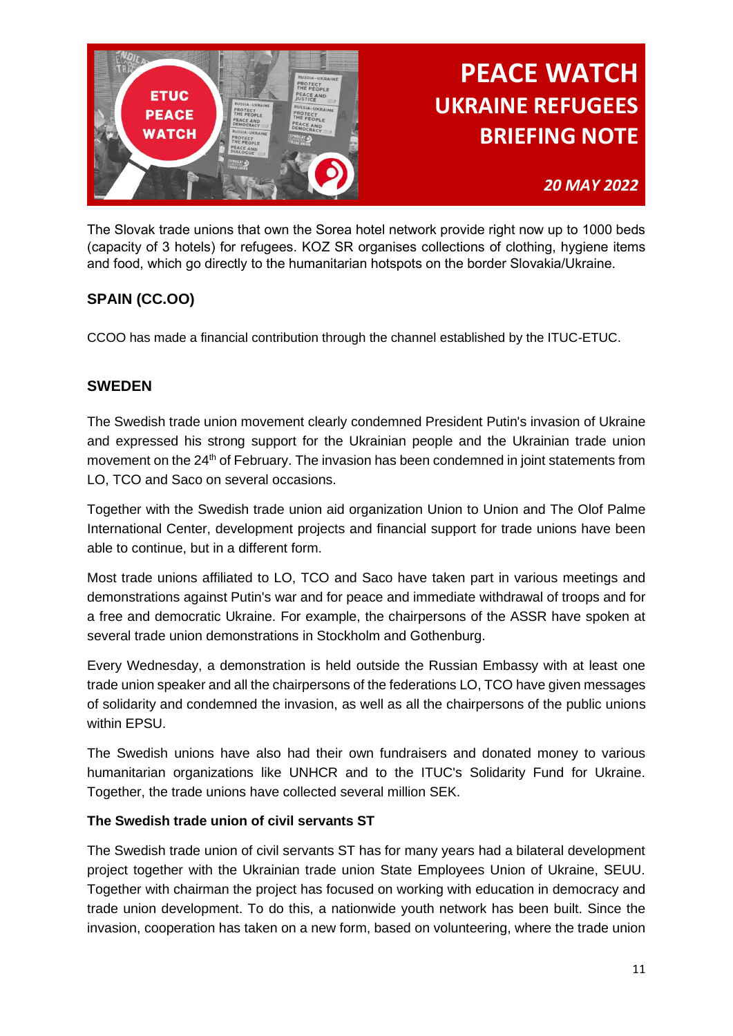

## *20 MAY 2022*

The Slovak trade unions that own the Sorea hotel network provide right now up to 1000 beds (capacity of 3 hotels) for refugees. KOZ SR organises collections of clothing, hygiene items and food, which go directly to the humanitarian hotspots on the border Slovakia/Ukraine.

## **SPAIN (CC.OO)**

CCOO has made a financial contribution through the channel established by the ITUC-ETUC.

#### **SWEDEN**

The Swedish trade union movement clearly condemned President Putin's invasion of Ukraine and expressed his strong support for the Ukrainian people and the Ukrainian trade union movement on the 24<sup>th</sup> of February. The invasion has been condemned in joint statements from LO, TCO and Saco on several occasions.

Together with the Swedish trade union aid organization Union to Union and The Olof Palme International Center, development projects and financial support for trade unions have been able to continue, but in a different form.

Most trade unions affiliated to LO, TCO and Saco have taken part in various meetings and demonstrations against Putin's war and for peace and immediate withdrawal of troops and for a free and democratic Ukraine. For example, the chairpersons of the ASSR have spoken at several trade union demonstrations in Stockholm and Gothenburg.

Every Wednesday, a demonstration is held outside the Russian Embassy with at least one trade union speaker and all the chairpersons of the federations LO, TCO have given messages of solidarity and condemned the invasion, as well as all the chairpersons of the public unions within EPSU.

The Swedish unions have also had their own fundraisers and donated money to various humanitarian organizations like UNHCR and to the ITUC's Solidarity Fund for Ukraine. Together, the trade unions have collected several million SEK.

#### **The Swedish trade union of civil servants ST**

The Swedish trade union of civil servants ST has for many years had a bilateral development project together with the Ukrainian trade union State Employees Union of Ukraine, SEUU. Together with chairman the project has focused on working with education in democracy and trade union development. To do this, a nationwide youth network has been built. Since the invasion, cooperation has taken on a new form, based on volunteering, where the trade union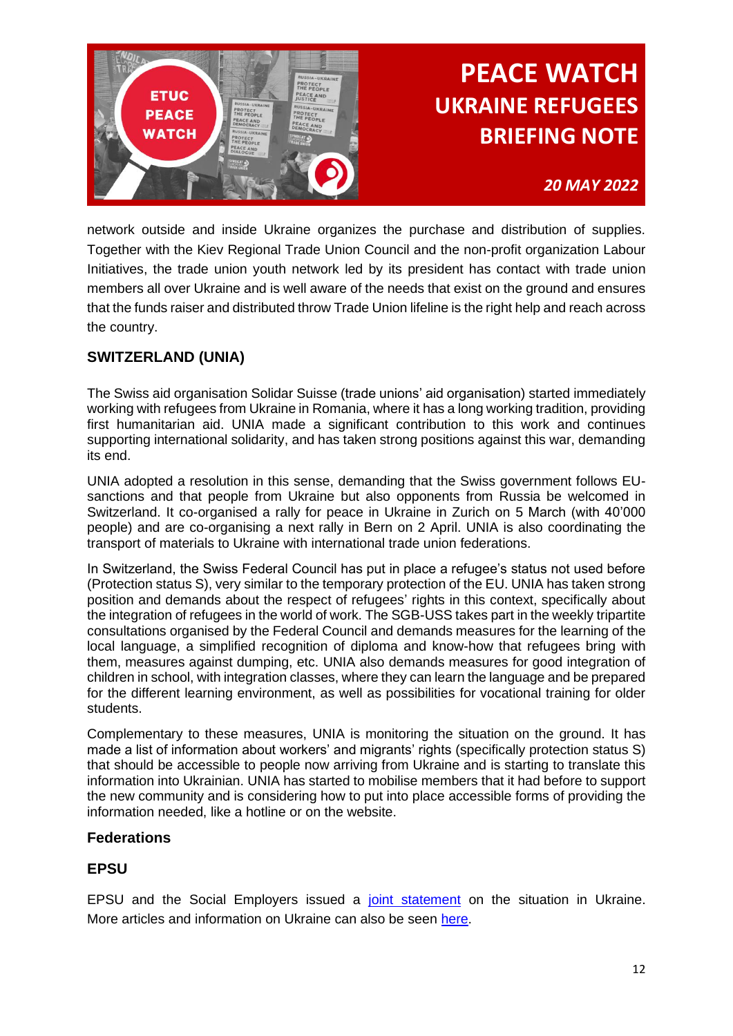

### *20 MAY 2022*

network outside and inside Ukraine organizes the purchase and distribution of supplies. Together with the Kiev Regional Trade Union Council and the non-profit organization Labour Initiatives, the trade union youth network led by its president has contact with trade union members all over Ukraine and is well aware of the needs that exist on the ground and ensures that the funds raiser and distributed throw Trade Union lifeline is the right help and reach across the country.

### **SWITZERLAND (UNIA)**

The Swiss aid organisation Solidar Suisse (trade unions' aid organisation) started immediately working with refugees from Ukraine in Romania, where it has a long working tradition, providing first humanitarian aid. UNIA made a significant contribution to this work and continues supporting international solidarity, and has taken strong positions against this war, demanding its end.

UNIA adopted a resolution in this sense, demanding that the Swiss government follows EUsanctions and that people from Ukraine but also opponents from Russia be welcomed in Switzerland. It co-organised a rally for peace in Ukraine in Zurich on 5 March (with 40'000 people) and are co-organising a next rally in Bern on 2 April. UNIA is also coordinating the transport of materials to Ukraine with international trade union federations.

In Switzerland, the Swiss Federal Council has put in place a refugee's status not used before (Protection status S), very similar to the temporary protection of the EU. UNIA has taken strong position and demands about the respect of refugees' rights in this context, specifically about the integration of refugees in the world of work. The SGB-USS takes part in the weekly tripartite consultations organised by the Federal Council and demands measures for the learning of the local language, a simplified recognition of diploma and know-how that refugees bring with them, measures against dumping, etc. UNIA also demands measures for good integration of children in school, with integration classes, where they can learn the language and be prepared for the different learning environment, as well as possibilities for vocational training for older students.

Complementary to these measures, UNIA is monitoring the situation on the ground. It has made a list of information about workers' and migrants' rights (specifically protection status S) that should be accessible to people now arriving from Ukraine and is starting to translate this information into Ukrainian. UNIA has started to mobilise members that it had before to support the new community and is considering how to put into place accessible forms of providing the information needed, like a hotline or on the website.

#### **Federations**

### **EPSU**

EPSU and the Social Employers issued a [joint statement](https://eur01.safelinks.protection.outlook.com/?url=https%3A%2F%2Fepsu.us10.list-manage.com%2Ftrack%2Fclick%3Fu%3D14c6e328904f64ba14a9342e3%26id%3D3375bc6a39%26e%3Db582d4654f&data=05%7C01%7Cmmiletti%40etuc.org%7C75bb066bcb874ab21a3008da29080e8a%7C7a57d45075f34a4da90dac04a367b91a%7C0%7C0%7C637867412263492601%7CUnknown%7CTWFpbGZsb3d8eyJWIjoiMC4wLjAwMDAiLCJQIjoiV2luMzIiLCJBTiI6Ik1haWwiLCJXVCI6Mn0%3D%7C3000%7C%7C%7C&sdata=KwNg5cpOhinVIGwHnZL4A8P9b3ZZK35qx%2BUoxr534%2FE%3D&reserved=0) on the situation in Ukraine. More articles and information on Ukraine can also be seen [here.](https://eur01.safelinks.protection.outlook.com/?url=https%3A%2F%2Fepsu.us10.list-manage.com%2Ftrack%2Fclick%3Fu%3D14c6e328904f64ba14a9342e3%26id%3D56ac8b5d56%26e%3Db582d4654f&data=05%7C01%7Cmmiletti%40etuc.org%7C75bb066bcb874ab21a3008da29080e8a%7C7a57d45075f34a4da90dac04a367b91a%7C0%7C0%7C637867412263492601%7CUnknown%7CTWFpbGZsb3d8eyJWIjoiMC4wLjAwMDAiLCJQIjoiV2luMzIiLCJBTiI6Ik1haWwiLCJXVCI6Mn0%3D%7C3000%7C%7C%7C&sdata=hKRhd%2FDUWrXgH8WAheSVha0ekMsJsvwDmNg6UCCqRLU%3D&reserved=0)